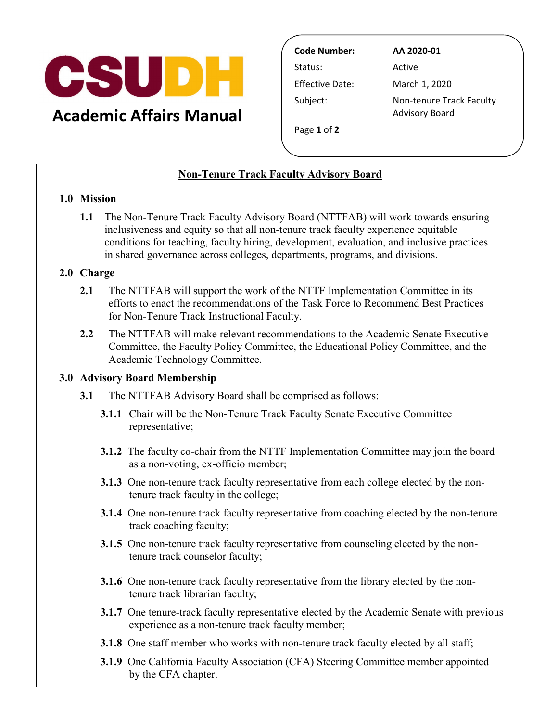

Status: Active **Effective Date:**  Subject: Non-tenure Track Faculty **Code Number: AA 2020-01**  Advisory Board

March 1, 2020

Page **1** of **2** 

# **Non-Tenure Track Faculty Advisory Board**

#### **1.0 Mission**

 **1.1** The Non-Tenure Track Faculty Advisory Board (NTTFAB) will work towards ensuring inclusiveness and equity so that all non-tenure track faculty experience equitable conditions for teaching, faculty hiring, development, evaluation, and inclusive practices in shared governance across colleges, departments, programs, and divisions.

## **2.0 Charge**

- **2.1** The NTTFAB will support the work of the NTTF Implementation Committee in its efforts to enact the recommendations of the Task Force to Recommend Best Practices for Non-Tenure Track Instructional Faculty.
- **2.2** The NTTFAB will make relevant recommendations to the Academic Senate Executive Committee, the Faculty Policy Committee, the Educational Policy Committee, and the Academic Technology Committee.

## **3.0 Advisory Board Membership**

- **3.1** The NTTFAB Advisory Board shall be comprised as follows:
	- **3.1.1** Chair will be the Non-Tenure Track Faculty Senate Executive Committee representative;
	- **3.1.2** The faculty co-chair from the NTTF Implementation Committee may join the board as a non-voting, ex-officio member;
	- **3.1.3** One non-tenure track faculty representative from each college elected by the nontenure track faculty in the college;
	- **3.1.4** One non-tenure track faculty representative from coaching elected by the non-tenure track coaching faculty;
	- tenure track counselor faculty; **3.1.5** One non-tenure track faculty representative from counseling elected by the non-
	- **3.1.6** One non-tenure track faculty representative from the library elected by the nontenure track librarian faculty;
	- **3.1.7** One tenure-track faculty representative elected by the Academic Senate with previous experience as a non-tenure track faculty member;
	- **3.1.8** One staff member who works with non-tenure track faculty elected by all staff;
	- by the CFA chapter. **3.1.9** One California Faculty Association (CFA) Steering Committee member appointed